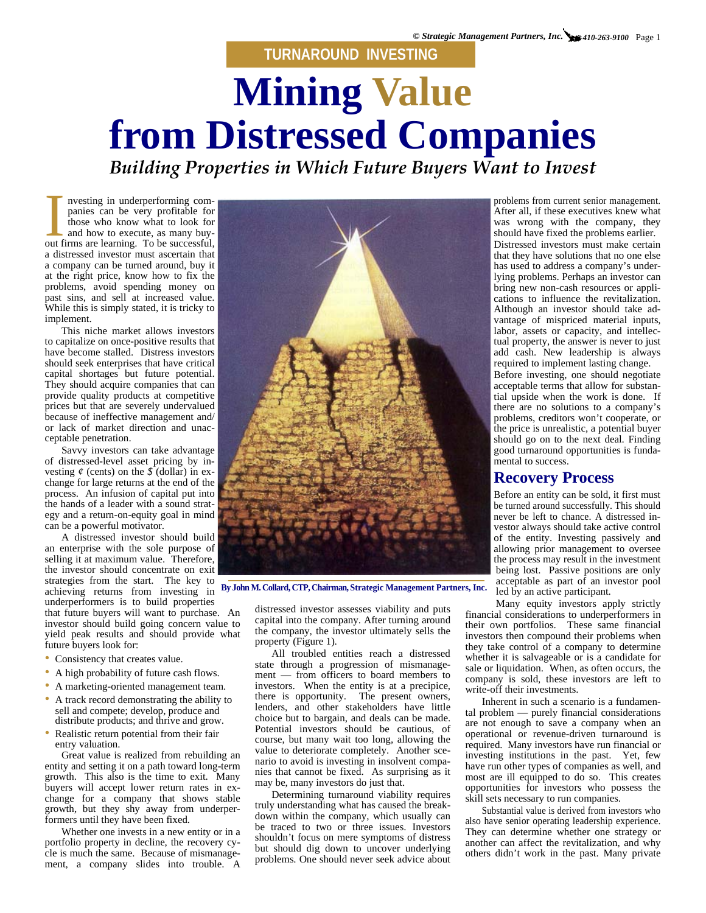**TURNAROUND INVESTING**

## **Mining Value from Distressed Companies**

*Building Properties in Which Future Buyers Want to Invest* 

out firms are learning. To be successful, a distressed investor must ascertain that a company can be turned around, buy it at the right price, know how to fix the past sins, and sell at increased value.

to capitalize on once-positive results that

of distressed-level asset pricing by in-

strategies from the start. The key to achieving returns from investing in underperformers is to build properties that future buyers will want to purchase. An investor should build going concern value to yield peak results and should provide what future buyers look for:

- Consistency that creates value.
- A high probability of future cash flows.
- A marketing-oriented management team.
- A track record demonstrating the ability to sell and compete; develop, produce and distribute products; and thrive and grow.
- Realistic return potential from their fair entry valuation.

Great value is realized from rebuilding an entity and setting it on a path toward long-term growth. This also is the time to exit. Many buyers will accept lower return rates in exchange for a company that shows stable growth, but they shy away from underperformers until they have been fixed.

Whether one invests in a new entity or in a portfolio property in decline, the recovery cycle is much the same. Because of mismanagement, a company slides into trouble. A



distressed investor assesses viability and puts capital into the company. After turning around the company, the investor ultimately sells the property (Figure 1).

All troubled entities reach a distressed state through a progression of mismanagement — from officers to board members to investors. When the entity is at a precipice, there is opportunity. The present owners, lenders, and other stakeholders have little choice but to bargain, and deals can be made. Potential investors should be cautious, of course, but many wait too long, allowing the value to deteriorate completely. Another scenario to avoid is investing in insolvent companies that cannot be fixed. As surprising as it may be, many investors do just that.

Determining turnaround viability requires truly understanding what has caused the breakdown within the company, which usually can be traced to two or three issues. Investors shouldn't focus on mere symptoms of distress but should dig down to uncover underlying problems. One should never seek advice about

should have fixed the problems earlier. Distressed investors must make certain<br>that they have solutions that no one else has used to address a company's under-<br>lying problems. Perhaps an investor can Before investing, one should negotiate

tial upside when the work is done. If problems, creditors won't cooperate, or good turnaround opportunities is funda-<br>mental to success.

of the entity. Investing passively and being lost. Passive positions are only By John M. Collard, CTP, Chairman, Strategic Management Partners, Inc. acceptable as part of an investor pool led by an active participant.

Many equity investors apply strictly financial considerations to underperformers in their own portfolios. These same financial investors then compound their problems when they take control of a company to determine whether it is salvageable or is a candidate for sale or liquidation. When, as often occurs, the company is sold, these investors are left to write-off their investments.

Inherent in such a scenario is a fundamental problem — purely financial considerations are not enough to save a company when an operational or revenue-driven turnaround is required. Many investors have run financial or investing institutions in the past. Yet, few have run other types of companies as well, and most are ill equipped to do so. This creates opportunities for investors who possess the skill sets necessary to run companies.

Substantial value is derived from investors who also have senior operating leadership experience. They can determine whether one strategy or another can affect the revitalization, and why others didn't work in the past. Many private